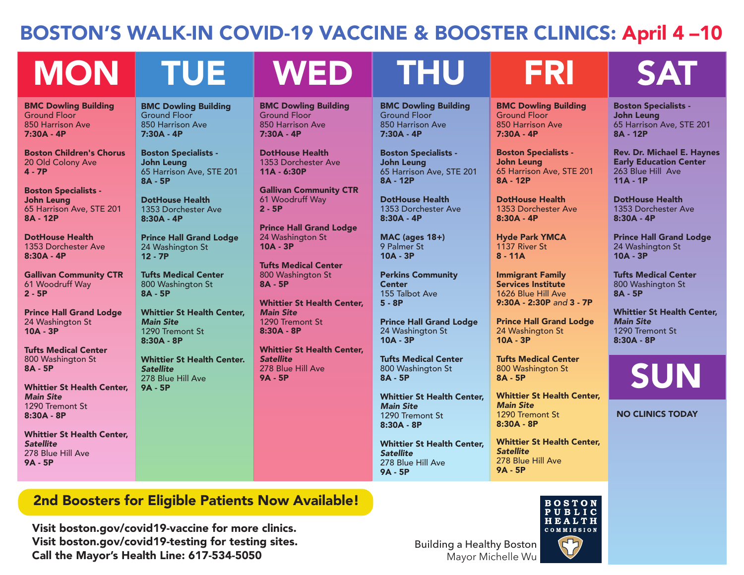## BOSTON'S WALK-IN COVID-19 VACCINE & BOOSTER CLINICS: April 4 –10

# MON TUE WED THU FRI SAT

BMC Dowling Building Ground Floor 850 Harrison Ave 7:30A - 4P

Boston Children's Chorus 20 Old Colony Ave 4 - 7P

Boston Specialists - John Leung 65 Harrison Ave, STE 201 8A - 12P

DotHouse Health 1353 Dorchester Ave 8:30A - 4P

Gallivan Community CTR 61 Woodruff Way 2 - 5P

Prince Hall Grand Lodge 24 Washington St 10A - 3P

Tufts Medical Center 800 Washington St 8A - 5P

Whittier St Health Center, *Main Site* 1290 Tremont St 8:30A - 8P

Whittier St Health Center, *Satellite*  278 Blue Hill Ave 9A - 5P

### BMC Dowling Building Ground Floor 850 Harrison Ave 7:30A - 4P

Boston Specialists - John Leung 65 Harrison Ave, STE 201 8A - 5P

DotHouse Health 1353 Dorchester Ave 8:30A - 4P

Prince Hall Grand Lodge 24 Washington St 12 - 7P

Tufts Medical Center 800 Washington St 8A - 5P

Whittier St Health Center, *Main Site* 1290 Tremont St 8:30A - 8P

Whittier St Health Center. *Satellite* 278 Blue Hill Ave 9A - 5P

BMC Dowling Building Ground Floor 850 Harrison Ave 7:30A - 4P

DotHouse Health 1353 Dorchester Ave 11A - 6:30P

Gallivan Community CTR 61 Woodruff Way 2 - 5P

Prince Hall Grand Lodge 24 Washington St 10A - 3P

Tufts Medical Center 800 Washington St 8A - 5P

Whittier St Health Center, *Main Site* 1290 Tremont St 8:30A - 8P

Whittier St Health Center, *Satellite*  278 Blue Hill Ave 9A - 5P

BMC Dowling Building Ground Floor 850 Harrison Ave 7:30A - 4P

Boston Specialists - John Leung 65 Harrison Ave, STE 201 8A - 12P

DotHouse Health 1353 Dorchester Ave 8:30A - 4P

MAC (ages 18+) 9 Palmer St 10A - 3P

Perkins Community **Center** 155 Talbot Ave 5 - 8P

Prince Hall Grand Lodge 24 Washington St 10A - 3P

Tufts Medical Center 800 Washington St 8A - 5P

Whittier St Health Center, *Main Site* 1290 Tremont St 8:30A - 8P

Whittier St Health Center, *Satellite*  278 Blue Hill Ave 9A - 5P

BMC Dowling Building Ground Floor 850 Harrison Ave 7:30A - 4P

Boston Specialists - John Leung 65 Harrison Ave, STE 201 8A - 12P

DotHouse Health 1353 Dorchester Ave 8:30A - 4P

Hyde Park YMCA 1137 River St 8 - 11A

Immigrant Family Services Institute 1626 Blue Hill Ave 9:30A - 2:30P *and* 3 - 7P

Prince Hall Grand Lodge 24 Washington St 10A - 3P

Tufts Medical Center 800 Washington St 8A - 5P

Whittier St Health Center, *Main Site* 1290 Tremont St 8:30A - 8P

Whittier St Health Center, *Satellite*  278 Blue Hill Ave 9A - 5P



Boston Specialists - John Leung 65 Harrison Ave, STE 201 8A - 12P

Rev. Dr. Michael E. Haynes Early Education Center 263 Blue Hill Ave 11A - 1P

DotHouse Health 1353 Dorchester Ave 8:30A - 4P

Prince Hall Grand Lodge 24 Washington St 10A - 3P

Tufts Medical Center 800 Washington St 8A - 5P

Whittier St Health Center, *Main Site* 1290 Tremont St 8:30A - 8P

SUN

NO CLINICS TODAY

2nd Boosters for Eligible Patients Now Available!

Visit boston.gov/covid19-vaccine for more clinics. Visit boston.gov/covid19-testing for testing sites. Call the Mayor's Health Line: 617-534-5050

Building a Healthy Boston Mayor Michelle Wu